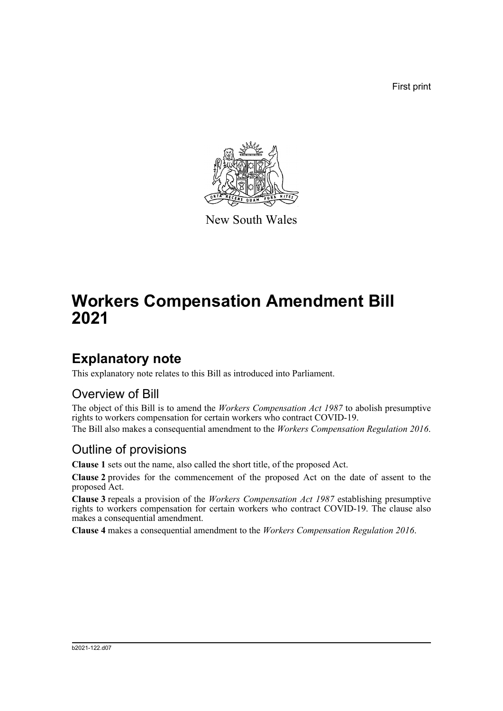First print



New South Wales

# **Workers Compensation Amendment Bill 2021**

### **Explanatory note**

This explanatory note relates to this Bill as introduced into Parliament.

#### Overview of Bill

The object of this Bill is to amend the *Workers Compensation Act 1987* to abolish presumptive rights to workers compensation for certain workers who contract COVID-19.

The Bill also makes a consequential amendment to the *Workers Compensation Regulation 2016*.

#### Outline of provisions

**Clause 1** sets out the name, also called the short title, of the proposed Act.

**Clause 2** provides for the commencement of the proposed Act on the date of assent to the proposed Act.

**Clause 3** repeals a provision of the *Workers Compensation Act 1987* establishing presumptive rights to workers compensation for certain workers who contract COVID-19. The clause also makes a consequential amendment.

**Clause 4** makes a consequential amendment to the *Workers Compensation Regulation 2016*.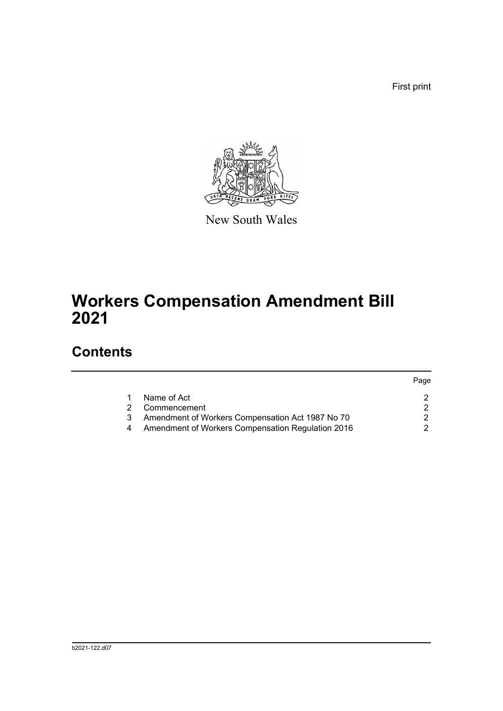First print



New South Wales

# **Workers Compensation Amendment Bill 2021**

## **Contents**

|   |                                                   | Paqe |
|---|---------------------------------------------------|------|
|   | Name of Act                                       |      |
| 2 | Commencement                                      |      |
| 3 | Amendment of Workers Compensation Act 1987 No 70  |      |
|   | Amendment of Workers Compensation Regulation 2016 |      |
|   |                                                   |      |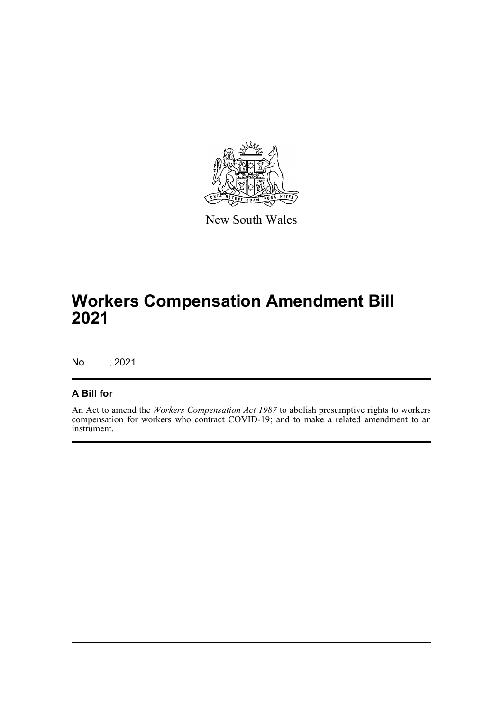

New South Wales

## **Workers Compensation Amendment Bill 2021**

No , 2021

#### **A Bill for**

An Act to amend the *Workers Compensation Act 1987* to abolish presumptive rights to workers compensation for workers who contract COVID-19; and to make a related amendment to an instrument.